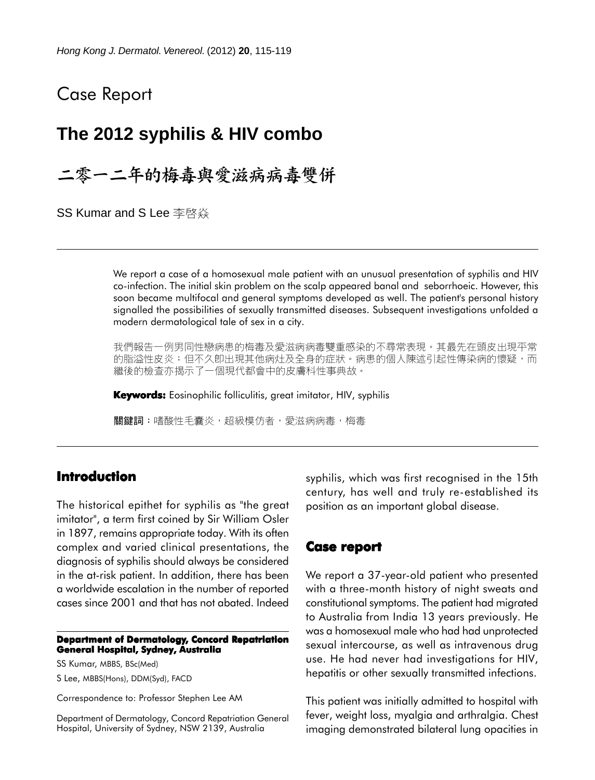Case Report

# **The 2012 syphilis & HIV combo**

二零一二年的梅毒與愛滋病病毒雙併

**SS Kumar and S Lee** 李啓焱

We report a case of a homosexual male patient with an unusual presentation of syphilis and HIV co-infection. The initial skin problem on the scalp appeared banal and seborrhoeic. However, this soon became multifocal and general symptoms developed as well. The patient's personal history signalled the possibilities of sexually transmitted diseases. Subsequent investigations unfolded a modern dermatological tale of sex in a city.

我們報告一例男同性戀病患的梅毒及愛滋病病毒雙重感染的不尋常表現。其最先在頭皮出現平常 的脂溢性皮炎;但不久卽出現其他病灶及全身的症狀。病患的個人陳述引起性傳染病的懷疑,而 繼後的檢查亦揭示了一個現代都會中的皮膚科性事典故。

**Keywords:** Eosinophilic folliculitis, great imitator, HIV, syphilis

關鍵詞:嗜酸性毛囊炎,超級模仿者,愛滋病病毒,梅毒

## **Introduction**

The historical epithet for syphilis as "the great imitator", a term first coined by Sir William Osler in 1897, remains appropriate today. With its often complex and varied clinical presentations, the diagnosis of syphilis should always be considered in the at-risk patient. In addition, there has been a worldwide escalation in the number of reported cases since 2001 and that has not abated. Indeed

#### **Department of Dermatology, Concord Repatriation General Hospital, Sydney, Australia**

SS Kumar, MBBS, BSc(Med) S Lee, MBBS(Hons), DDM(Syd), FACD

Correspondence to: Professor Stephen Lee AM

Department of Dermatology, Concord Repatriation General Hospital, University of Sydney, NSW 2139, Australia

syphilis, which was first recognised in the 15th century, has well and truly re-established its position as an important global disease.

## **Case report**

We report a 37-year-old patient who presented with a three-month history of night sweats and constitutional symptoms. The patient had migrated to Australia from India 13 years previously. He was a homosexual male who had had unprotected sexual intercourse, as well as intravenous drug use. He had never had investigations for HIV, hepatitis or other sexually transmitted infections.

This patient was initially admitted to hospital with fever, weight loss, myalgia and arthralgia. Chest imaging demonstrated bilateral lung opacities in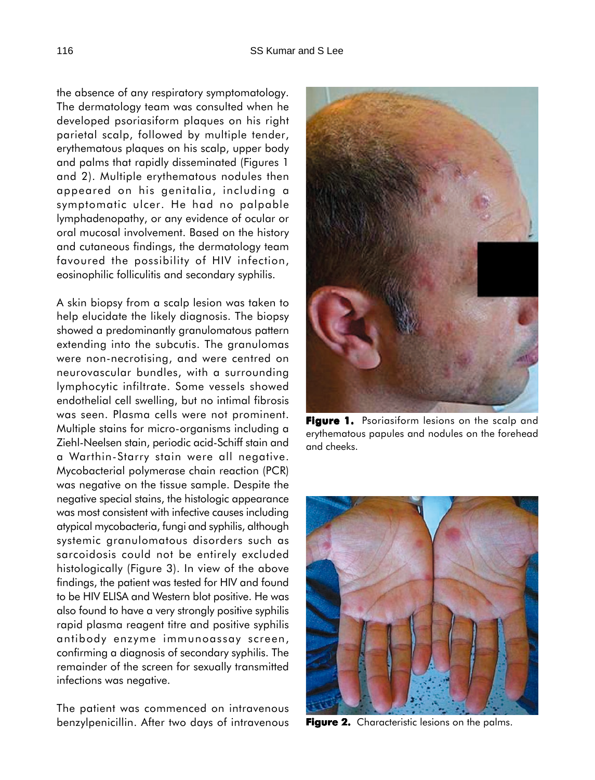the absence of any respiratory symptomatology. The dermatology team was consulted when he developed psoriasiform plaques on his right parietal scalp, followed by multiple tender, erythematous plaques on his scalp, upper body and palms that rapidly disseminated (Figures 1 and 2). Multiple erythematous nodules then appeared on his genitalia, including a symptomatic ulcer. He had no palpable lymphadenopathy, or any evidence of ocular or oral mucosal involvement. Based on the history and cutaneous findings, the dermatology team favoured the possibility of HIV infection, eosinophilic folliculitis and secondary syphilis.

A skin biopsy from a scalp lesion was taken to help elucidate the likely diagnosis. The biopsy showed a predominantly granulomatous pattern extending into the subcutis. The granulomas were non-necrotising, and were centred on neurovascular bundles, with a surrounding lymphocytic infiltrate. Some vessels showed endothelial cell swelling, but no intimal fibrosis was seen. Plasma cells were not prominent. Multiple stains for micro-organisms including a Ziehl-Neelsen stain, periodic acid-Schiff stain and a Warthin-Starry stain were all negative. Mycobacterial polymerase chain reaction (PCR) was negative on the tissue sample. Despite the negative special stains, the histologic appearance was most consistent with infective causes including atypical mycobacteria, fungi and syphilis, although systemic granulomatous disorders such as sarcoidosis could not be entirely excluded histologically (Figure 3). In view of the above findings, the patient was tested for HIV and found to be HIV ELISA and Western blot positive. He was also found to have a very strongly positive syphilis rapid plasma reagent titre and positive syphilis antibody enzyme immunoassay screen, confirming a diagnosis of secondary syphilis. The remainder of the screen for sexually transmitted infections was negative.

The patient was commenced on intravenous benzylpenicillin. After two days of intravenous



**Figure 1. Figure 1.** Psoriasiform lesions on the scalp and erythematous papules and nodules on the forehead and cheeks.



**Figure 2.** Characteristic lesions on the palms.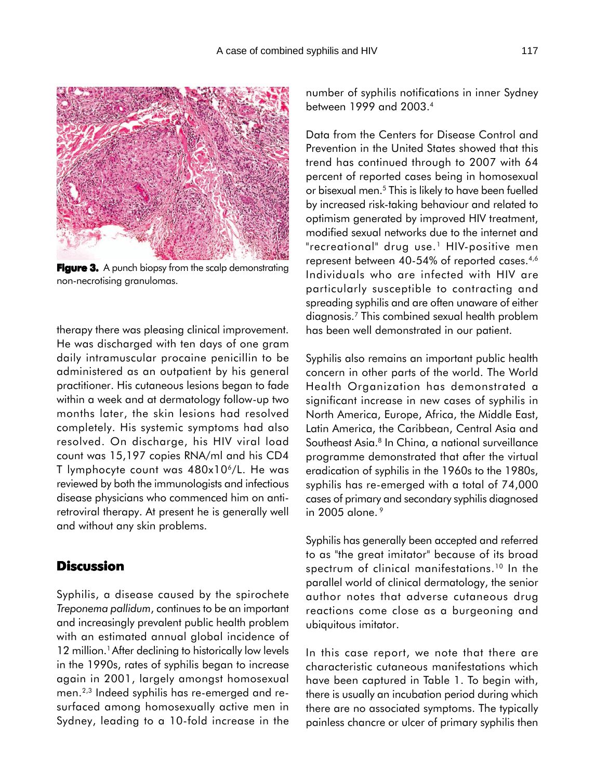

**Figure 3.** A punch biopsy from the scalp demonstrating non-necrotising granulomas.

therapy there was pleasing clinical improvement. He was discharged with ten days of one gram daily intramuscular procaine penicillin to be administered as an outpatient by his general practitioner. His cutaneous lesions began to fade within a week and at dermatology follow-up two months later, the skin lesions had resolved completely. His systemic symptoms had also resolved. On discharge, his HIV viral load count was 15,197 copies RNA/ml and his CD4 T lymphocyte count was 480x10<sup>6</sup>/L. He was reviewed by both the immunologists and infectious disease physicians who commenced him on antiretroviral therapy. At present he is generally well and without any skin problems.

## **Discussion**

Syphilis, a disease caused by the spirochete *Treponema pallidum*, continues to be an important and increasingly prevalent public health problem with an estimated annual global incidence of 12 million.<sup>1</sup> After declining to historically low levels in the 1990s, rates of syphilis began to increase again in 2001, largely amongst homosexual men.2,3 Indeed syphilis has re-emerged and resurfaced among homosexually active men in Sydney, leading to a 10-fold increase in the

number of syphilis notifications in inner Sydney between 1999 and 2003.4

Data from the Centers for Disease Control and Prevention in the United States showed that this trend has continued through to 2007 with 64 percent of reported cases being in homosexual or bisexual men.5 This is likely to have been fuelled by increased risk-taking behaviour and related to optimism generated by improved HIV treatment, modified sexual networks due to the internet and "recreational" drug use.<sup>1</sup> HIV-positive men represent between 40-54% of reported cases.<sup>4,6</sup> Individuals who are infected with HIV are particularly susceptible to contracting and spreading syphilis and are often unaware of either diagnosis.7 This combined sexual health problem has been well demonstrated in our patient.

Syphilis also remains an important public health concern in other parts of the world. The World Health Organization has demonstrated a significant increase in new cases of syphilis in North America, Europe, Africa, the Middle East, Latin America, the Caribbean, Central Asia and Southeast Asia.<sup>8</sup> In China, a national surveillance programme demonstrated that after the virtual eradication of syphilis in the 1960s to the 1980s, syphilis has re-emerged with a total of 74,000 cases of primary and secondary syphilis diagnosed in 2005 alone. 9

Syphilis has generally been accepted and referred to as "the great imitator" because of its broad spectrum of clinical manifestations.<sup>10</sup> In the parallel world of clinical dermatology, the senior author notes that adverse cutaneous drug reactions come close as a burgeoning and ubiquitous imitator.

In this case report, we note that there are characteristic cutaneous manifestations which have been captured in Table 1. To begin with, there is usually an incubation period during which there are no associated symptoms. The typically painless chancre or ulcer of primary syphilis then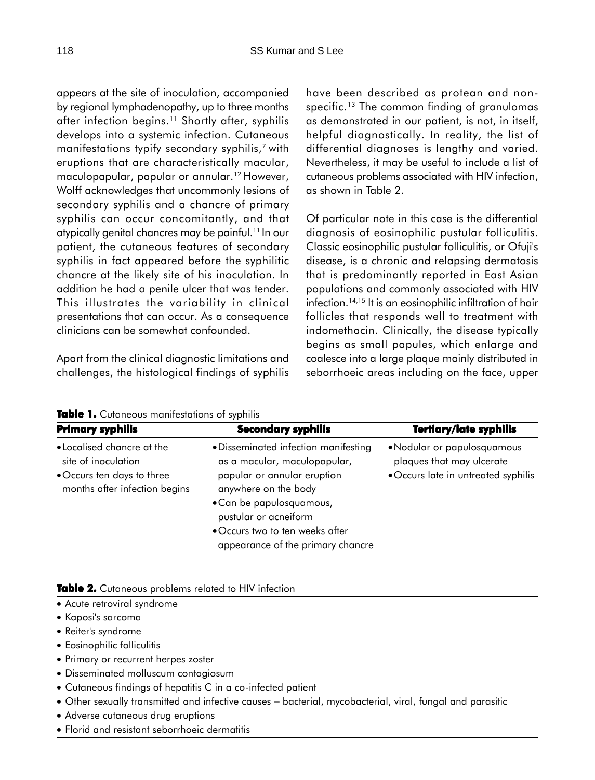appears at the site of inoculation, accompanied by regional lymphadenopathy, up to three months after infection begins.<sup>11</sup> Shortly after, syphilis develops into a systemic infection. Cutaneous manifestations typify secondary syphilis,7 with eruptions that are characteristically macular, maculopapular, papular or annular.12 However, Wolff acknowledges that uncommonly lesions of secondary syphilis and a chancre of primary syphilis can occur concomitantly, and that atypically genital chancres may be painful.11 In our patient, the cutaneous features of secondary syphilis in fact appeared before the syphilitic chancre at the likely site of his inoculation. In addition he had a penile ulcer that was tender. This illustrates the variability in clinical presentations that can occur. As a consequence clinicians can be somewhat confounded.

Apart from the clinical diagnostic limitations and challenges, the histological findings of syphilis have been described as protean and nonspecific.<sup>13</sup> The common finding of granulomas as demonstrated in our patient, is not, in itself, helpful diagnostically. In reality, the list of differential diagnoses is lengthy and varied. Nevertheless, it may be useful to include a list of cutaneous problems associated with HIV infection, as shown in Table 2.

Of particular note in this case is the differential diagnosis of eosinophilic pustular folliculitis. Classic eosinophilic pustular folliculitis, or Ofuji's disease, is a chronic and relapsing dermatosis that is predominantly reported in East Asian populations and commonly associated with HIV infection.14,15 It is an eosinophilic infiltration of hair follicles that responds well to treatment with indomethacin. Clinically, the disease typically begins as small papules, which enlarge and coalesce into a large plaque mainly distributed in seborrhoeic areas including on the face, upper

| <b>Primary syphilis</b>                                                                                          | <b>Secondary syphilis</b>                                                                                                                                                                                                                                | <b>Tertiary/late syphilis</b>                                                                   |
|------------------------------------------------------------------------------------------------------------------|----------------------------------------------------------------------------------------------------------------------------------------------------------------------------------------------------------------------------------------------------------|-------------------------------------------------------------------------------------------------|
| • Localised chancre at the<br>site of inoculation<br>• Occurs ten days to three<br>months after infection begins | · Disseminated infection manifesting<br>as a macular, maculopapular,<br>papular or annular eruption<br>anywhere on the body<br>· Can be papulosquamous,<br>pustular or acneiform<br>. Occurs two to ten weeks after<br>appearance of the primary chancre | • Nodular or papulosquamous<br>plaques that may ulcerate<br>. Occurs late in untreated syphilis |

#### **Table 1.** Cutaneous manifestations of syphilis

### **Table 2.** Cutaneous problems related to HIV infection

- Acute retroviral syndrome
- Kaposi's sarcoma
- Reiter's syndrome
- Eosinophilic folliculitis
- Primary or recurrent herpes zoster
- Disseminated molluscum contagiosum
- Cutaneous findings of hepatitis C in a co-infected patient
- Other sexually transmitted and infective causes − bacterial, mycobacterial, viral, fungal and parasitic
- Adverse cutaneous drug eruptions
- Florid and resistant seborrhoeic dermatitis